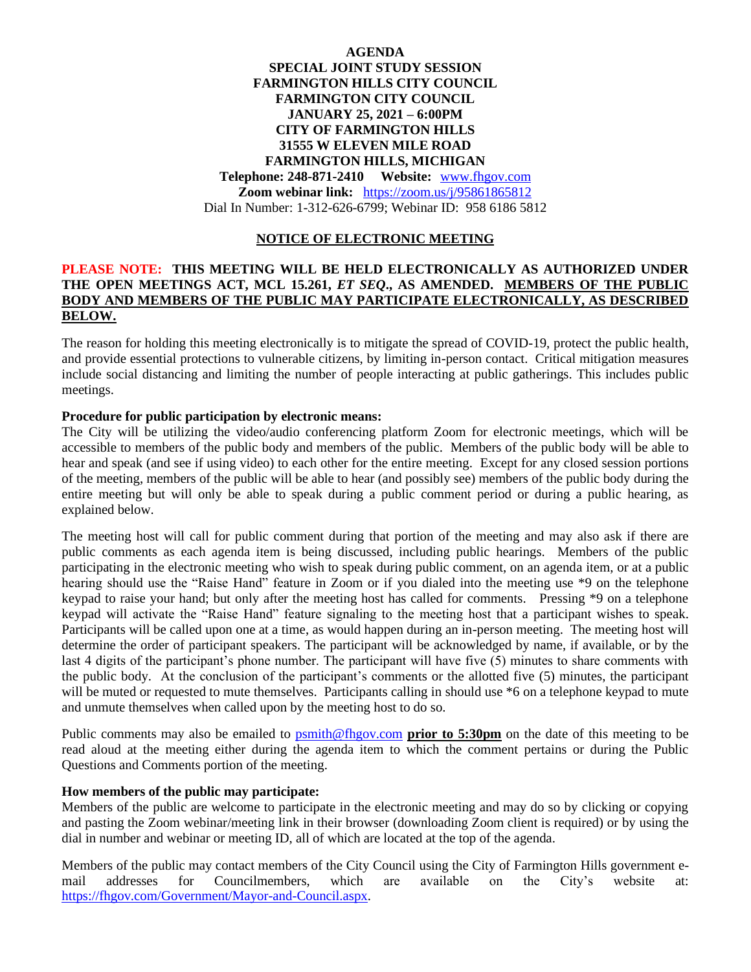## **AGENDA SPECIAL JOINT STUDY SESSION FARMINGTON HILLS CITY COUNCIL FARMINGTON CITY COUNCIL JANUARY 25, 2021 – 6:00PM CITY OF FARMINGTON HILLS 31555 W ELEVEN MILE ROAD FARMINGTON HILLS, MICHIGAN Telephone: 248-871-2410 Website:** [www.fhgov.com](http://www.fhgov.com/) **Zoom webinar link:** <https://zoom.us/j/95861865812> Dial In Number: 1-312-626-6799; Webinar ID: 958 6186 5812

# **NOTICE OF ELECTRONIC MEETING**

#### **PLEASE NOTE: THIS MEETING WILL BE HELD ELECTRONICALLY AS AUTHORIZED UNDER THE OPEN MEETINGS ACT, MCL 15.261,** *ET SEQ***., AS AMENDED. MEMBERS OF THE PUBLIC BODY AND MEMBERS OF THE PUBLIC MAY PARTICIPATE ELECTRONICALLY, AS DESCRIBED BELOW.**

The reason for holding this meeting electronically is to mitigate the spread of COVID-19, protect the public health, and provide essential protections to vulnerable citizens, by limiting in-person contact. Critical mitigation measures include social distancing and limiting the number of people interacting at public gatherings. This includes public meetings.

#### **Procedure for public participation by electronic means:**

The City will be utilizing the video/audio conferencing platform Zoom for electronic meetings, which will be accessible to members of the public body and members of the public. Members of the public body will be able to hear and speak (and see if using video) to each other for the entire meeting. Except for any closed session portions of the meeting, members of the public will be able to hear (and possibly see) members of the public body during the entire meeting but will only be able to speak during a public comment period or during a public hearing, as explained below.

The meeting host will call for public comment during that portion of the meeting and may also ask if there are public comments as each agenda item is being discussed, including public hearings. Members of the public participating in the electronic meeting who wish to speak during public comment, on an agenda item, or at a public hearing should use the "Raise Hand" feature in Zoom or if you dialed into the meeting use \*9 on the telephone keypad to raise your hand; but only after the meeting host has called for comments. Pressing \*9 on a telephone keypad will activate the "Raise Hand" feature signaling to the meeting host that a participant wishes to speak. Participants will be called upon one at a time, as would happen during an in-person meeting. The meeting host will determine the order of participant speakers. The participant will be acknowledged by name, if available, or by the last 4 digits of the participant's phone number. The participant will have five (5) minutes to share comments with the public body.At the conclusion of the participant's comments or the allotted five (5) minutes, the participant will be muted or requested to mute themselves. Participants calling in should use  $*6$  on a telephone keypad to mute and unmute themselves when called upon by the meeting host to do so.

Public comments may also be emailed to [psmith@fhgov.com](mailto:psmith@fhgov.com) **prior to 5:30pm** on the date of this meeting to be read aloud at the meeting either during the agenda item to which the comment pertains or during the Public Questions and Comments portion of the meeting.

### **How members of the public may participate:**

Members of the public are welcome to participate in the electronic meeting and may do so by clicking or copying and pasting the Zoom webinar/meeting link in their browser (downloading Zoom client is required) or by using the dial in number and webinar or meeting ID, all of which are located at the top of the agenda.

Members of the public may contact members of the City Council using the City of Farmington Hills government email addresses for Councilmembers, which are available on the City's website at: [https://fhgov.com/Government/Mayor-and-Council.aspx.](https://fhgov.com/Government/Mayor-and-Council.aspx)